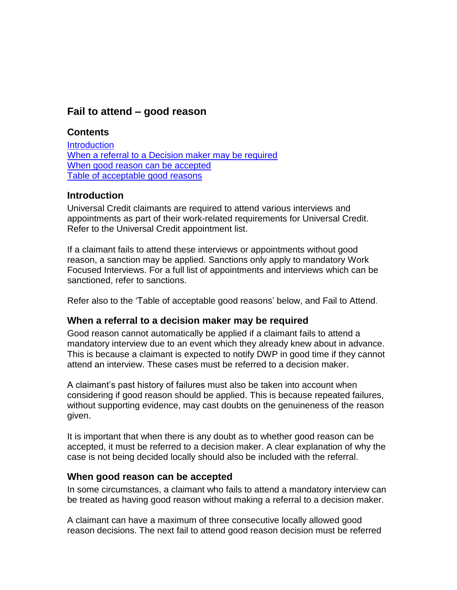# **Fail to attend – good reason**

### **Contents**

**[Introduction](#page-0-0)** [When a referral to a Decision maker may be required](#page-0-1) When [good reason can be accepted](#page-0-2) Table of acceptable good reasons

### <span id="page-0-0"></span>**Introduction**

Universal Credit claimants are required to attend various interviews and appointments as part of their work-related requirements for Universal Credit. Refer to the Universal Credit appointment list.

If a claimant fails to attend these interviews or appointments without good reason, a sanction may be applied. Sanctions only apply to mandatory Work Focused Interviews. For a full list of appointments and interviews which can be sanctioned, refer to sanctions.

Refer also to the 'Table of acceptable good reasons' below, and Fail to Attend.

## <span id="page-0-1"></span>**When a referral to a decision maker may be required**

Good reason cannot automatically be applied if a claimant fails to attend a mandatory interview due to an event which they already knew about in advance. This is because a claimant is expected to notify DWP in good time if they cannot attend an interview. These cases must be referred to a decision maker.

A claimant's past history of failures must also be taken into account when considering if good reason should be applied. This is because repeated failures, without supporting evidence, may cast doubts on the genuineness of the reason given.

It is important that when there is any doubt as to whether good reason can be accepted, it must be referred to a decision maker. A clear explanation of why the case is not being decided locally should also be included with the referral.

#### <span id="page-0-2"></span>**When good reason can be accepted**

In some circumstances, a claimant who fails to attend a mandatory interview can be treated as having good reason without making a referral to a decision maker.

A claimant can have a maximum of three consecutive locally allowed good reason decisions. The next fail to attend good reason decision must be referred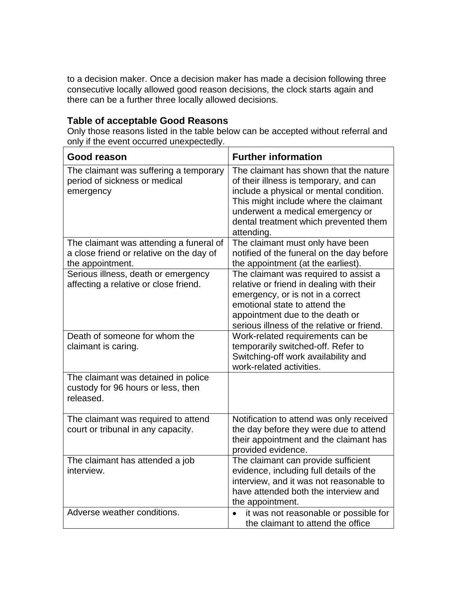to a decision maker. Once a decision maker has made a decision following three consecutive locally allowed good reason decisions, the clock starts again and there can be a further three locally allowed decisions.

### **Table of acceptable Good Reasons**

Only those reasons listed in the table below can be accepted without referral and only if the event occurred unexpectedly.

| <b>Good reason</b>                                                                                      | <b>Further information</b>                                                                                                                                                                                                                                      |
|---------------------------------------------------------------------------------------------------------|-----------------------------------------------------------------------------------------------------------------------------------------------------------------------------------------------------------------------------------------------------------------|
| The claimant was suffering a temporary<br>period of sickness or medical<br>emergency                    | The claimant has shown that the nature<br>of their illness is temporary, and can<br>include a physical or mental condition.<br>This might include where the claimant<br>underwent a medical emergency or<br>dental treatment which prevented them<br>attending. |
| The claimant was attending a funeral of<br>a close friend or relative on the day of<br>the appointment. | The claimant must only have been<br>notified of the funeral on the day before<br>the appointment (at the earliest).                                                                                                                                             |
| Serious illness, death or emergency<br>affecting a relative or close friend.                            | The claimant was required to assist a<br>relative or friend in dealing with their<br>emergency, or is not in a correct<br>emotional state to attend the<br>appointment due to the death or<br>serious illness of the relative or friend.                        |
| Death of someone for whom the<br>claimant is caring.                                                    | Work-related requirements can be<br>temporarily switched-off. Refer to<br>Switching-off work availability and<br>work-related activities.                                                                                                                       |
| The claimant was detained in police<br>custody for 96 hours or less, then<br>released.                  |                                                                                                                                                                                                                                                                 |
| The claimant was required to attend<br>court or tribunal in any capacity.                               | Notification to attend was only received<br>the day before they were due to attend<br>their appointment and the claimant has<br>provided evidence.                                                                                                              |
| The claimant has attended a job<br>interview.                                                           | The claimant can provide sufficient<br>evidence, including full details of the<br>interview, and it was not reasonable to<br>have attended both the interview and<br>the appointment.                                                                           |
| Adverse weather conditions.                                                                             | it was not reasonable or possible for<br>$\bullet$<br>the claimant to attend the office                                                                                                                                                                         |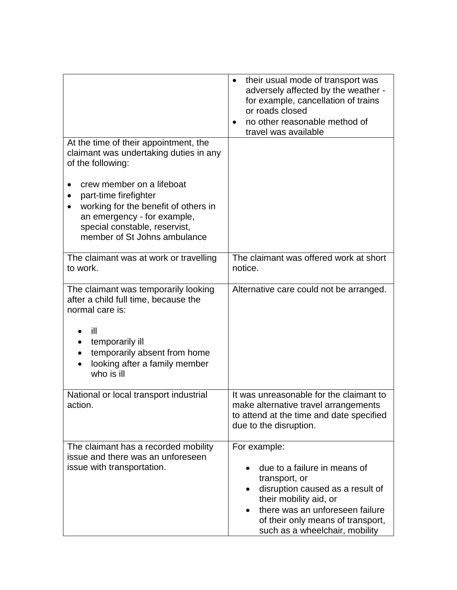| At the time of their appointment, the                                                                                                                                                      | their usual mode of transport was<br>$\bullet$<br>adversely affected by the weather -<br>for example, cancellation of trains<br>or roads closed<br>no other reasonable method of<br>travel was available                              |
|--------------------------------------------------------------------------------------------------------------------------------------------------------------------------------------------|---------------------------------------------------------------------------------------------------------------------------------------------------------------------------------------------------------------------------------------|
| claimant was undertaking duties in any<br>of the following:                                                                                                                                |                                                                                                                                                                                                                                       |
| crew member on a lifeboat<br>part-time firefighter<br>working for the benefit of others in<br>an emergency - for example,<br>special constable, reservist,<br>member of St Johns ambulance |                                                                                                                                                                                                                                       |
| The claimant was at work or travelling<br>to work.                                                                                                                                         | The claimant was offered work at short<br>notice.                                                                                                                                                                                     |
| The claimant was temporarily looking<br>after a child full time, because the<br>normal care is:                                                                                            | Alternative care could not be arranged.                                                                                                                                                                                               |
| ill<br>temporarily ill<br>temporarily absent from home<br>looking after a family member<br>who is ill                                                                                      |                                                                                                                                                                                                                                       |
| National or local transport industrial<br>action                                                                                                                                           | It was unreasonable for the claimant to<br>make alternative travel arrangements<br>to attend at the time and date specified<br>due to the disruption.                                                                                 |
| The claimant has a recorded mobility<br>issue and there was an unforeseen<br>issue with transportation.                                                                                    | For example:<br>due to a failure in means of<br>transport, or<br>disruption caused as a result of<br>their mobility aid, or<br>there was an unforeseen failure<br>of their only means of transport,<br>such as a wheelchair, mobility |